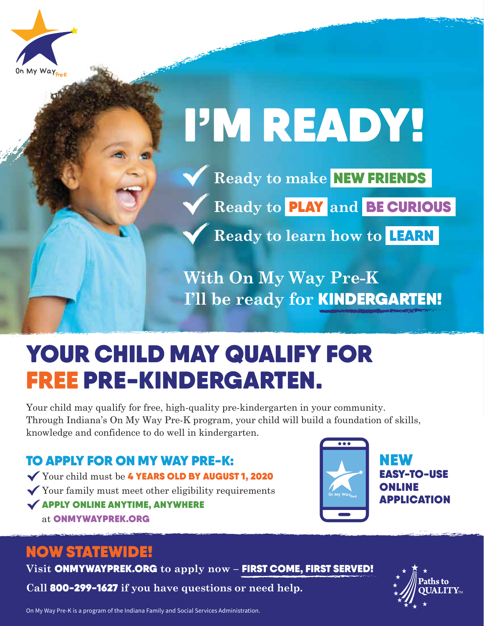



- **Ready to make** NEW FRIENDS
	- **Ready to** PLAY **and** BE CURIOUS

**Ready to learn how to** LEARN

**With On My Way Pre-K I'll be ready for** KINDERGARTEN!

### YOUR CHILD MAY QUALIFY FOR FREE PRE-KINDERGARTEN.

Your child may qualify for free, high-quality pre-kindergarten in your community. Through Indiana's On My Way Pre-K program, your child will build a foundation of skills, knowledge and confidence to do well in kindergarten.

TO APPLY FOR ON MY WAY PRE-K: Your child must be 4 YEARS OLD BY AUGUST 1, 2020  $\checkmark$  Your family must meet other eligibility requirements  $\checkmark$  APPLY ONLINE ANYTIME, ANYWHERE at ONMYWAYPREK.ORG



NEW EASY-TO-USE ONLINE APPLICATION

#### NOW STATEWIDE!

**Visit** ONMYWAYPREK.ORG **to apply now –** FIRST COME, FIRST SERVED!

**Call** 800-299-1627 **if you have questions or need help.** 



On My Way Pre-K is a program of the Indiana Family and Social Services Administration.